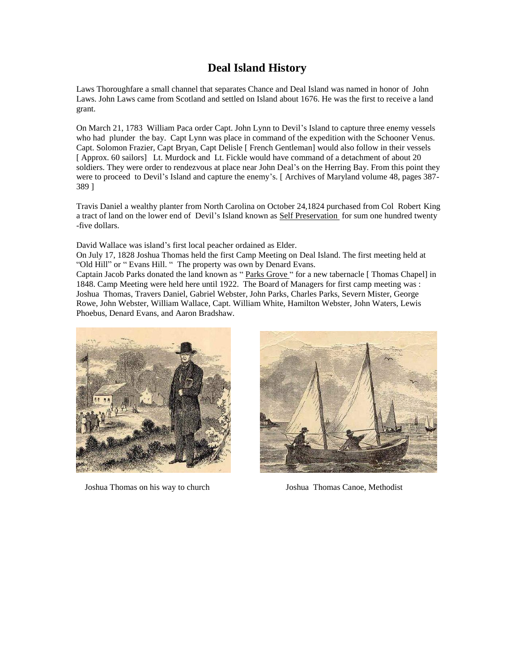## **Deal Island History**

Laws Thoroughfare a small channel that separates Chance and Deal Island was named in honor of John Laws. John Laws came from Scotland and settled on Island about 1676. He was the first to receive a land grant.

On March 21, 1783 William Paca order Capt. John Lynn to Devil's Island to capture three enemy vessels who had plunder the bay. Capt Lynn was place in command of the expedition with the Schooner Venus. Capt. Solomon Frazier, Capt Bryan, Capt Delisle [ French Gentleman] would also follow in their vessels [ Approx. 60 sailors] Lt. Murdock and Lt. Fickle would have command of a detachment of about 20 soldiers. They were order to rendezvous at place near John Deal's on the Herring Bay. From this point they were to proceed to Devil's Island and capture the enemy's. [ Archives of Maryland volume 48, pages 387- 389 ]

Travis Daniel a wealthy planter from North Carolina on October 24,1824 purchased from Col Robert King a tract of land on the lower end of Devil's Island known as Self Preservation for sum one hundred twenty -five dollars.

David Wallace was island's first local peacher ordained as Elder.

On July 17, 1828 Joshua Thomas held the first Camp Meeting on Deal Island. The first meeting held at "Old Hill" or " Evans Hill. " The property was own by Denard Evans.

Captain Jacob Parks donated the land known as " Parks Grove " for a new tabernacle [ Thomas Chapel] in 1848. Camp Meeting were held here until 1922. The Board of Managers for first camp meeting was : Joshua Thomas, Travers Daniel, Gabriel Webster, John Parks, Charles Parks, Severn Mister, George Rowe, John Webster, William Wallace, Capt. William White, Hamilton Webster, John Waters, Lewis Phoebus, Denard Evans, and Aaron Bradshaw.



Joshua Thomas on his way to church Joshua Thomas Canoe, Methodist

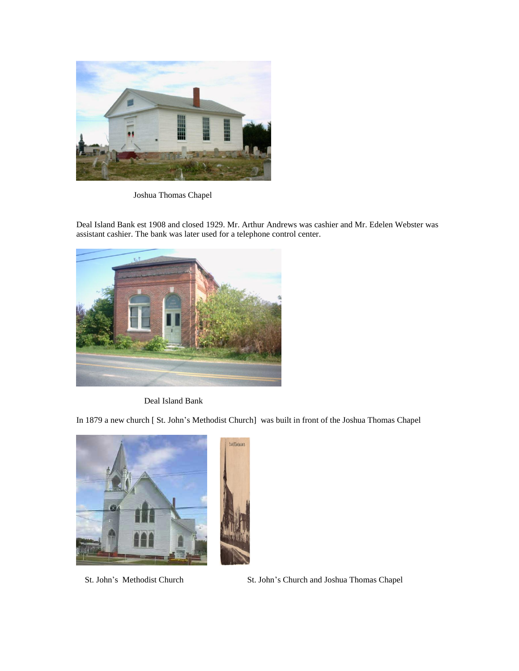

Joshua Thomas Chapel

Deal Island Bank est 1908 and closed 1929. Mr. Arthur Andrews was cashier and Mr. Edelen Webster was assistant cashier. The bank was later used for a telephone control center.



Deal Island Bank

In 1879 a new church [ St. John's Methodist Church] was built in front of the Joshua Thomas Chapel



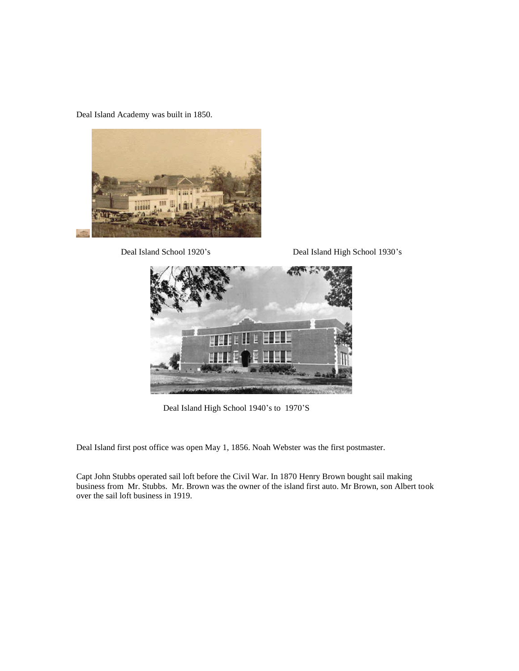Deal Island Academy was built in 1850.



Deal Island School 1920's Deal Island High School 1930's



Deal Island High School 1940's to 1970'S

Deal Island first post office was open May 1, 1856. Noah Webster was the first postmaster.

Capt John Stubbs operated sail loft before the Civil War. In 1870 Henry Brown bought sail making business from Mr. Stubbs. Mr. Brown was the owner of the island first auto. Mr Brown, son Albert took over the sail loft business in 1919.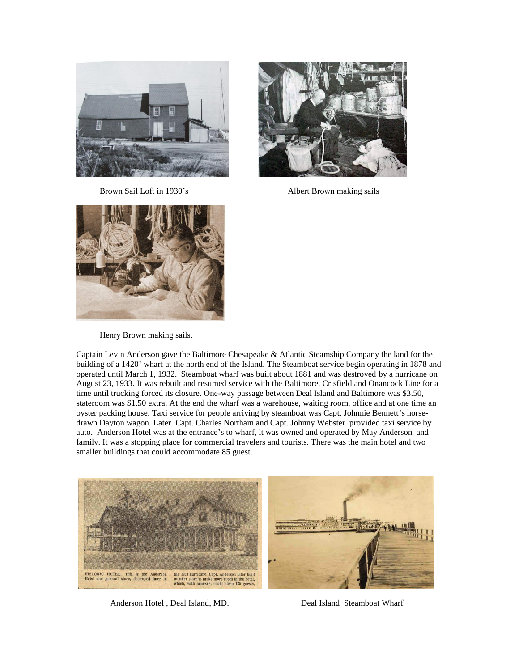



Brown Sail Loft in 1930's Albert Brown making sails



Henry Brown making sails.

Captain Levin Anderson gave the Baltimore Chesapeake & Atlantic Steamship Company the land for the building of a 1420' wharf at the north end of the Island. The Steamboat service begin operating in 1878 and operated until March 1, 1932. Steamboat wharf was built about 1881 and was destroyed by a hurricane on August 23, 1933. It was rebuilt and resumed service with the Baltimore, Crisfield and Onancock Line for a time until trucking forced its closure. One-way passage between Deal Island and Baltimore was \$3.50, stateroom was \$1.50 extra. At the end the wharf was a warehouse, waiting room, office and at one time an oyster packing house. Taxi service for people arriving by steamboat was Capt. Johnnie Bennett's horsedrawn Dayton wagon. Later Capt. Charles Northam and Capt. Johnny Webster provided taxi service by auto. Anderson Hotel was at the entrance's to wharf, it was owned and operated by May Anderson and family. It was a stopping place for commercial travelers and tourists. There was the main hotel and two smaller buildings that could accommodate 85 guest.



Anderson Hotel , Deal Island, MD. Deal Island Steamboat Wharf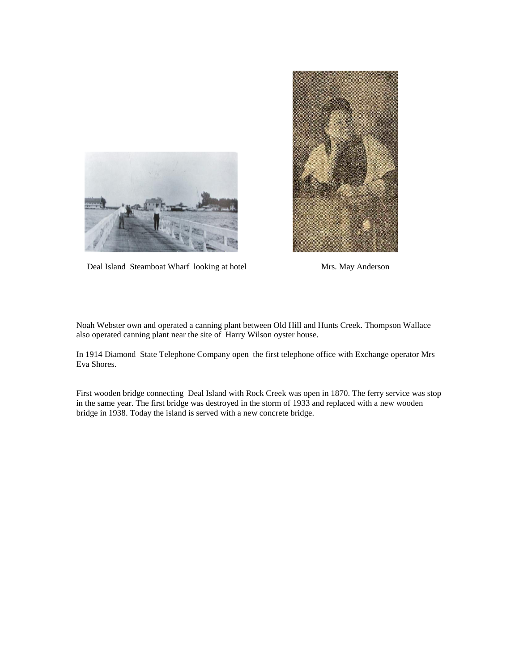



Deal Island Steamboat Wharf looking at hotel Mrs. May Anderson

Noah Webster own and operated a canning plant between Old Hill and Hunts Creek. Thompson Wallace also operated canning plant near the site of Harry Wilson oyster house.

In 1914 Diamond State Telephone Company open the first telephone office with Exchange operator Mrs Eva Shores.

First wooden bridge connecting Deal Island with Rock Creek was open in 1870. The ferry service was stop in the same year. The first bridge was destroyed in the storm of 1933 and replaced with a new wooden bridge in 1938. Today the island is served with a new concrete bridge.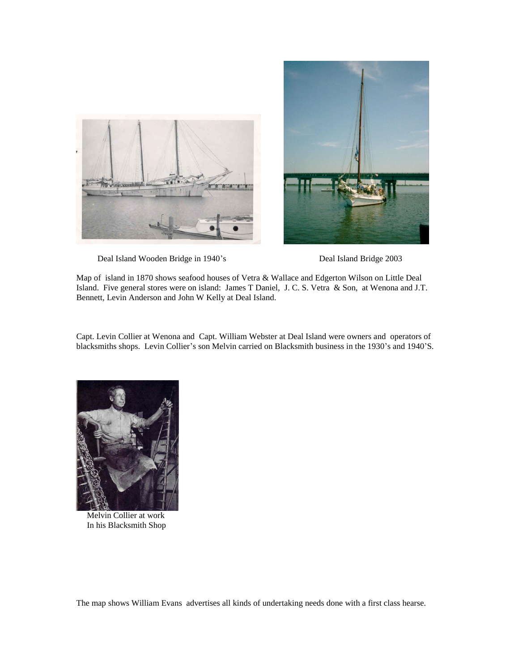



Deal Island Wooden Bridge in 1940's Deal Island Bridge 2003

Map of island in 1870 shows seafood houses of Vetra & Wallace and Edgerton Wilson on Little Deal Island. Five general stores were on island: James T Daniel, J. C. S. Vetra & Son, at Wenona and J.T. Bennett, Levin Anderson and John W Kelly at Deal Island.

Capt. Levin Collier at Wenona and Capt. William Webster at Deal Island were owners and operators of blacksmiths shops. Levin Collier's son Melvin carried on Blacksmith business in the 1930's and 1940'S.



 Melvin Collier at work In his Blacksmith Shop

The map shows William Evans advertises all kinds of undertaking needs done with a first class hearse.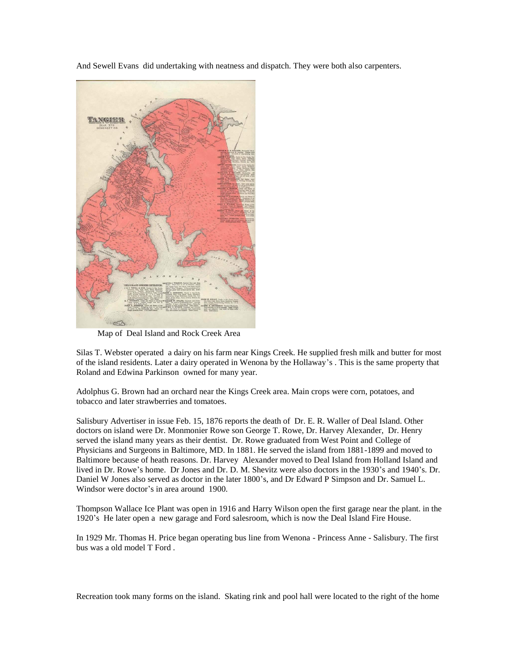And Sewell Evans did undertaking with neatness and dispatch. They were both also carpenters.



Map of Deal Island and Rock Creek Area

Silas T. Webster operated a dairy on his farm near Kings Creek. He supplied fresh milk and butter for most of the island residents. Later a dairy operated in Wenona by the Hollaway's . This is the same property that Roland and Edwina Parkinson owned for many year.

Adolphus G. Brown had an orchard near the Kings Creek area. Main crops were corn, potatoes, and tobacco and later strawberries and tomatoes.

Salisbury Advertiser in issue Feb. 15, 1876 reports the death of Dr. E. R. Waller of Deal Island. Other doctors on island were Dr. Monmonier Rowe son George T. Rowe, Dr. Harvey Alexander, Dr. Henry served the island many years as their dentist. Dr. Rowe graduated from West Point and College of Physicians and Surgeons in Baltimore, MD. In 1881. He served the island from 1881-1899 and moved to Baltimore because of heath reasons. Dr. Harvey Alexander moved to Deal Island from Holland Island and lived in Dr. Rowe's home. Dr Jones and Dr. D. M. Shevitz were also doctors in the 1930's and 1940's. Dr. Daniel W Jones also served as doctor in the later 1800's, and Dr Edward P Simpson and Dr. Samuel L. Windsor were doctor's in area around 1900.

Thompson Wallace Ice Plant was open in 1916 and Harry Wilson open the first garage near the plant. in the 1920's He later open a new garage and Ford salesroom, which is now the Deal Island Fire House.

In 1929 Mr. Thomas H. Price began operating bus line from Wenona - Princess Anne - Salisbury. The first bus was a old model T Ford .

Recreation took many forms on the island. Skating rink and pool hall were located to the right of the home